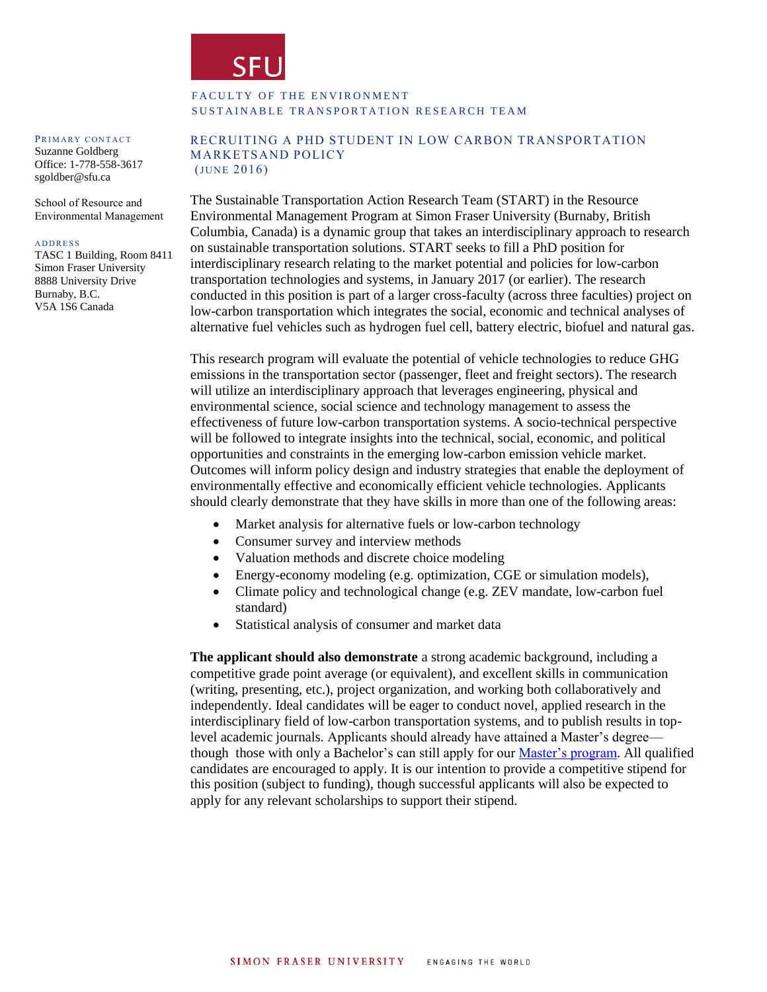

### FACULTY OF THE ENVIRONMENT SUSTAINABLE TRANSPORTATION RESEARCH TEAM

#### PRIMARY CONTACT

Suzanne Goldberg Office: 1-778-558-3617 sgoldber@sfu.ca

School of Resource and Environmental Management

#### **A D D R E S S**

TASC 1 Building, Room 8411 Simon Fraser University 8888 University Drive Burnaby, B.C. V5A 1S6 Canada

#### RECRUITING A PHD STUDENT IN LOW CARBON TRANSPORTATION MARKETSAND POLICY  $(JUNE 2016)$

The Sustainable Transportation Action Research Team (START) in the Resource Environmental Management Program at Simon Fraser University (Burnaby, British Columbia, Canada) is a dynamic group that takes an interdisciplinary approach to research on sustainable transportation solutions. START seeks to fill a PhD position for interdisciplinary research relating to the market potential and policies for low-carbon transportation technologies and systems, in January 2017 (or earlier). The research conducted in this position is part of a larger cross-faculty (across three faculties) project on low-carbon transportation which integrates the social, economic and technical analyses of alternative fuel vehicles such as hydrogen fuel cell, battery electric, biofuel and natural gas.

This research program will evaluate the potential of vehicle technologies to reduce GHG emissions in the transportation sector (passenger, fleet and freight sectors). The research will utilize an interdisciplinary approach that leverages engineering, physical and environmental science, social science and technology management to assess the effectiveness of future low-carbon transportation systems. A socio-technical perspective will be followed to integrate insights into the technical, social, economic, and political opportunities and constraints in the emerging low-carbon emission vehicle market. Outcomes will inform policy design and industry strategies that enable the deployment of environmentally effective and economically efficient vehicle technologies. Applicants should clearly demonstrate that they have skills in more than one of the following areas:

- Market analysis for alternative fuels or low-carbon technology
- Consumer survey and interview methods
- Valuation methods and discrete choice modeling
- Energy-economy modeling (e.g. optimization, CGE or simulation models),
- Climate policy and technological change (e.g. ZEV mandate, low-carbon fuel standard)
- Statistical analysis of consumer and market data

**The applicant should also demonstrate** a strong academic background, including a competitive grade point average (or equivalent), and excellent skills in communication (writing, presenting, etc.), project organization, and working both collaboratively and independently. Ideal candidates will be eager to conduct novel, applied research in the interdisciplinary field of low-carbon transportation systems, and to publish results in toplevel academic journals. Applicants should already have attained a Master's degree though those with only a Bachelor's can still apply for our [Master's program.](http://www.rem.sfu.ca/programs/minor-in-rem/) All qualified candidates are encouraged to apply. It is our intention to provide a competitive stipend for this position (subject to funding), though successful applicants will also be expected to apply for any relevant scholarships to support their stipend.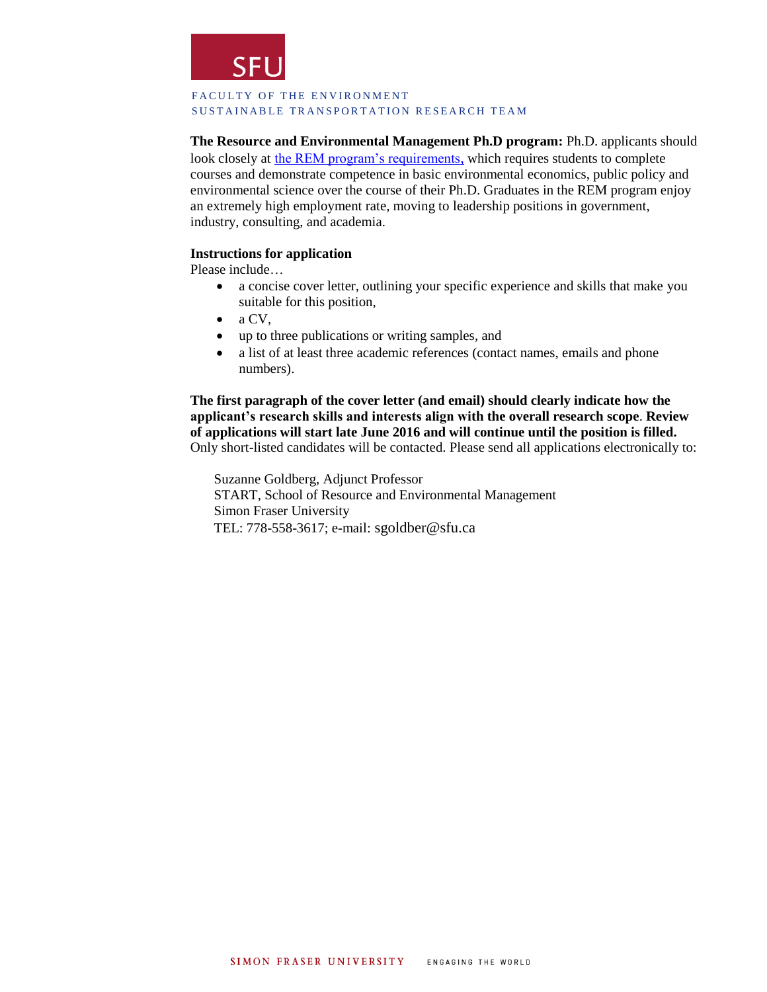

### FACULTY OF THE ENVIRONMENT SUSTAINABLE TRANSPORTATION RESEARCH TEAM

**The Resource and Environmental Management Ph.D program:** Ph.D. applicants should look closely at [the REM program's requirements](http://www.rem.sfu.ca/prospective-students/admission-requirements/), which requires students to complete courses and demonstrate competence in basic environmental economics, public policy and environmental science over the course of their Ph.D. Graduates in the REM program enjoy an extremely high employment rate, moving to leadership positions in government, industry, consulting, and academia.

## **Instructions for application**

Please include…

- a concise cover letter, outlining your specific experience and skills that make you suitable for this position,
- $\bullet$  a CV,
- up to three publications or writing samples, and
- a list of at least three academic references (contact names, emails and phone numbers).

**The first paragraph of the cover letter (and email) should clearly indicate how the applicant's research skills and interests align with the overall research scope**. **Review of applications will start late June 2016 and will continue until the position is filled.**  Only short-listed candidates will be contacted. Please send all applications electronically to:

Suzanne Goldberg, Adjunct Professor START, School of Resource and Environmental Management Simon Fraser University TEL: 778-558-3617; e-mail: [sgoldber@sfu.ca](mailto:sgoldber@sfu.ca)